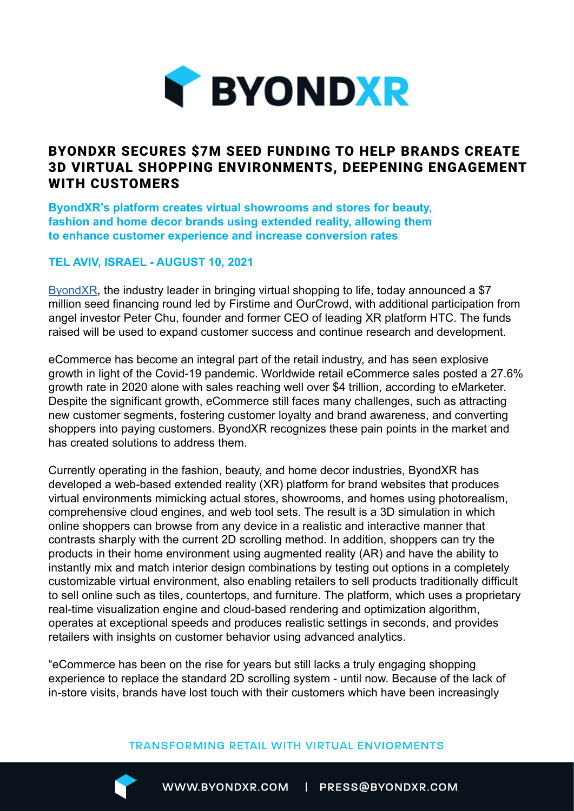

## BYONDXR SECURES \$7M SEED FUNDING TO HELP BRANDS CREATE 3D VIRTUAL SHOPPING ENVIRONMENTS, DEEPENING ENGAGEMENT WITH CUSTOMERS

**ByondXR's platform creates virtual showrooms and stores for beauty, fashion and home decor brands using extended reality, allowing them to enhance customer experience and increase conversion rates**

## **TEL AVIV, ISRAEL - AUGUST 10, 2021**

[ByondXR](https://www.byondxr.com/), the industry leader in bringing virtual shopping to life, today announced a \$7 million seed financing round led by Firstime and OurCrowd, with additional participation from angel investor Peter Chu, founder and former CEO of leading XR platform HTC. The funds raised will be used to expand customer success and continue research and development.

eCommerce has become an integral part of the retail industry, and has seen explosive growth in light of the Covid-19 pandemic. Worldwide retail eCommerce sales posted a 27.6% growth rate in 2020 alone with sales reaching well over \$4 trillion, according to eMarketer. Despite the significant growth, eCommerce still faces many challenges, such as attracting new customer segments, fostering customer loyalty and brand awareness, and converting shoppers into paying customers. ByondXR recognizes these pain points in the market and has created solutions to address them.

Currently operating in the fashion, beauty, and home decor industries, ByondXR has developed a web-based extended reality (XR) platform for brand websites that produces virtual environments mimicking actual stores, showrooms, and homes using photorealism, comprehensive cloud engines, and web tool sets. The result is a 3D simulation in which online shoppers can browse from any device in a realistic and interactive manner that contrasts sharply with the current 2D scrolling method. In addition, shoppers can try the products in their home environment using augmented reality (AR) and have the ability to instantly mix and match interior design combinations by testing out options in a completely customizable virtual environment, also enabling retailers to sell products traditionally difficult to sell online such as tiles, countertops, and furniture. The platform, which uses a proprietary real-time visualization engine and cloud-based rendering and optimization algorithm, operates at exceptional speeds and produces realistic settings in seconds, and provides retailers with insights on customer behavior using advanced analytics.

"eCommerce has been on the rise for years but still lacks a truly engaging shopping experience to replace the standard 2D scrolling system - until now. Because of the lack of in-store visits, brands have lost touch with their customers which have been increasingly

## **TRANSFORMING RETAIL WITH VIRTUAL ENVIORMENTS**